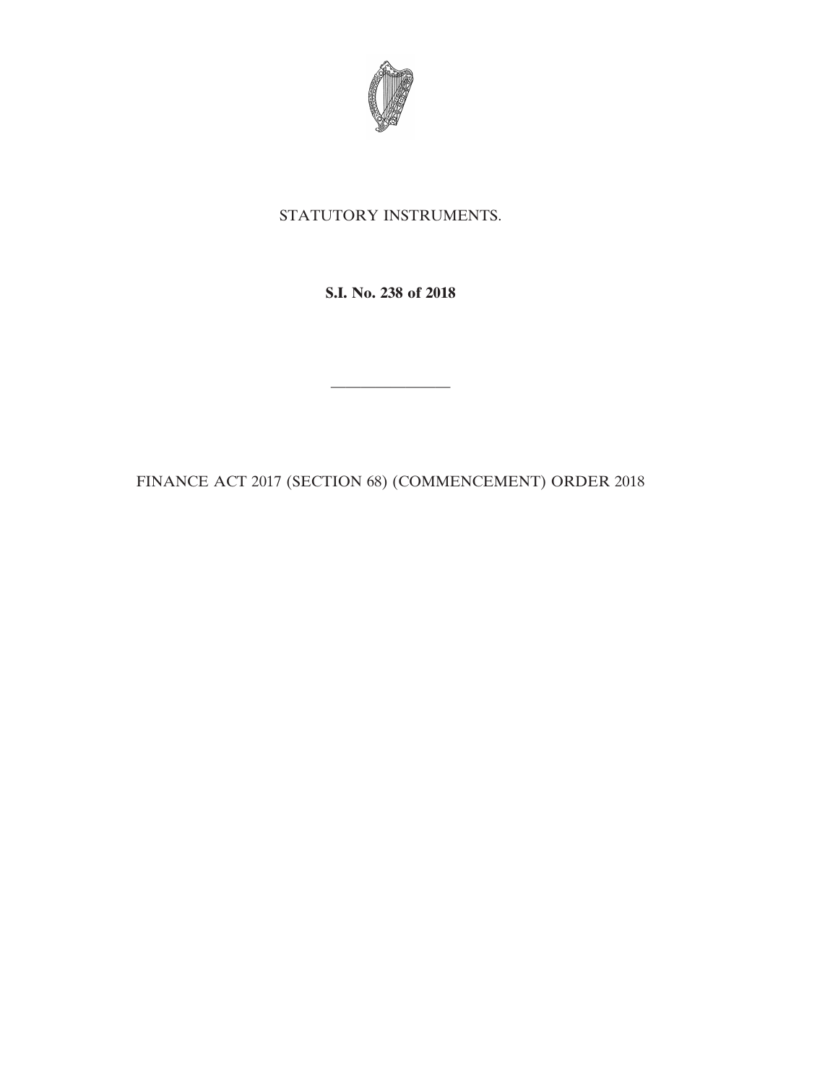

## STATUTORY INSTRUMENTS.

**S.I. No. 238 of 2018**

FINANCE ACT 2017 (SECTION 68) (COMMENCEMENT) ORDER 2018

————————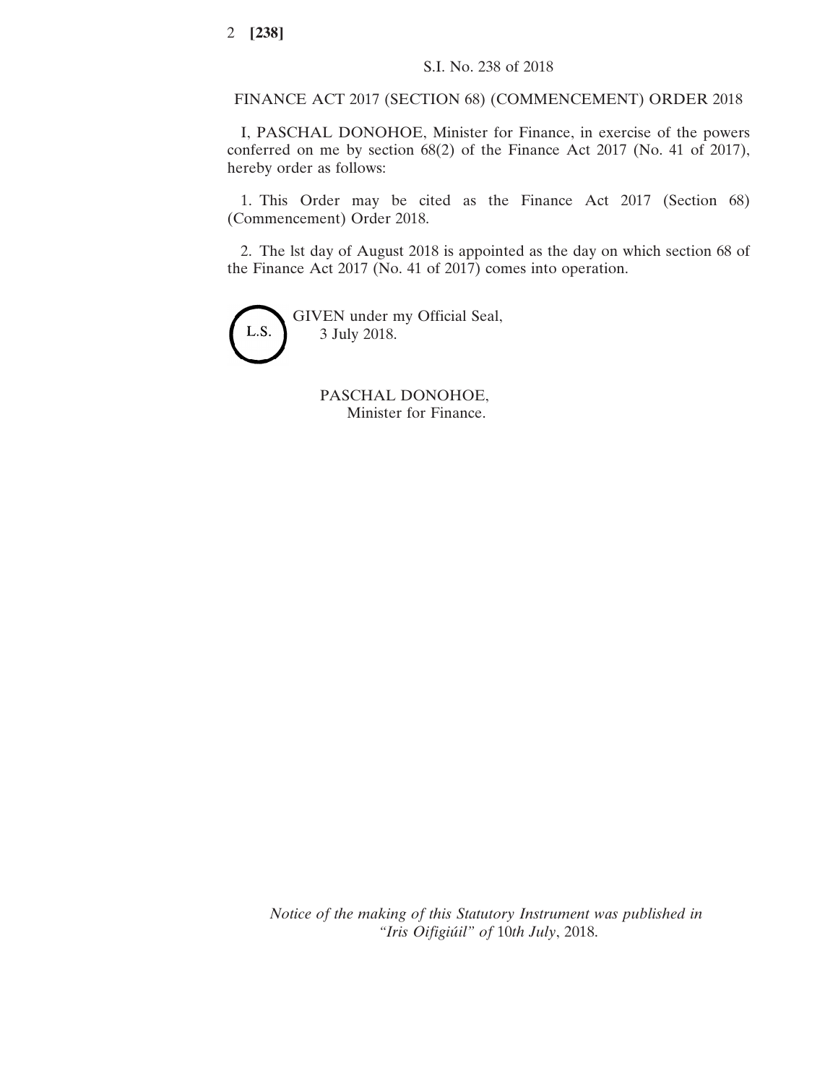FINANCE ACT 2017 (SECTION 68) (COMMENCEMENT) ORDER 2018

I, PASCHAL DONOHOE, Minister for Finance, in exercise of the powers conferred on me by section 68(2) of the Finance Act 2017 (No. 41 of 2017), hereby order as follows:

1. This Order may be cited as the Finance Act 2017 (Section 68) (Commencement) Order 2018.

2. The lst day of August 2018 is appointed as the day on which section 68 of the Finance Act 2017 (No. 41 of 2017) comes into operation.



PASCHAL DONOHOE, Minister for Finance.

*Notice of the making of this Statutory Instrument was published in "Iris Oifigiúil" of* 10*th July*, 2018.